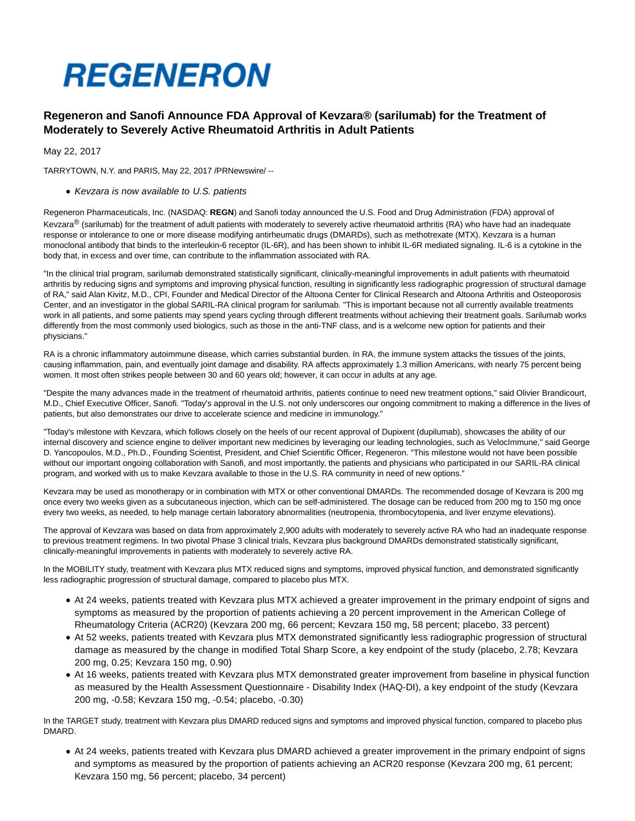

# **Regeneron and Sanofi Announce FDA Approval of Kevzara® (sarilumab) for the Treatment of Moderately to Severely Active Rheumatoid Arthritis in Adult Patients**

May 22, 2017

TARRYTOWN, N.Y. and PARIS, May 22, 2017 /PRNewswire/ --

• Kevzara is now available to U.S. patients

Regeneron Pharmaceuticals, Inc. (NASDAQ: **REGN**) and Sanofi today announced the U.S. Food and Drug Administration (FDA) approval of Kevzara<sup>®</sup> (sarilumab) for the treatment of adult patients with moderately to severely active rheumatoid arthritis (RA) who have had an inadequate response or intolerance to one or more disease modifying antirheumatic drugs (DMARDs), such as methotrexate (MTX). Kevzara is a human monoclonal antibody that binds to the interleukin-6 receptor (IL-6R), and has been shown to inhibit IL-6R mediated signaling. IL-6 is a cytokine in the body that, in excess and over time, can contribute to the inflammation associated with RA.

"In the clinical trial program, sarilumab demonstrated statistically significant, clinically-meaningful improvements in adult patients with rheumatoid arthritis by reducing signs and symptoms and improving physical function, resulting in significantly less radiographic progression of structural damage of RA," said Alan Kivitz, M.D., CPI, Founder and Medical Director of the Altoona Center for Clinical Research and Altoona Arthritis and Osteoporosis Center, and an investigator in the global SARIL-RA clinical program for sarilumab. "This is important because not all currently available treatments work in all patients, and some patients may spend years cycling through different treatments without achieving their treatment goals. Sarilumab works differently from the most commonly used biologics, such as those in the anti-TNF class, and is a welcome new option for patients and their physicians."

RA is a chronic inflammatory autoimmune disease, which carries substantial burden. In RA, the immune system attacks the tissues of the joints, causing inflammation, pain, and eventually joint damage and disability. RA affects approximately 1.3 million Americans, with nearly 75 percent being women. It most often strikes people between 30 and 60 years old; however, it can occur in adults at any age.

"Despite the many advances made in the treatment of rheumatoid arthritis, patients continue to need new treatment options," said Olivier Brandicourt, M.D., Chief Executive Officer, Sanofi. "Today's approval in the U.S. not only underscores our ongoing commitment to making a difference in the lives of patients, but also demonstrates our drive to accelerate science and medicine in immunology."

"Today's milestone with Kevzara, which follows closely on the heels of our recent approval of Dupixent (dupilumab), showcases the ability of our internal discovery and science engine to deliver important new medicines by leveraging our leading technologies, such as VelocImmune," said George D. Yancopoulos, M.D., Ph.D., Founding Scientist, President, and Chief Scientific Officer, Regeneron. "This milestone would not have been possible without our important ongoing collaboration with Sanofi, and most importantly, the patients and physicians who participated in our SARIL-RA clinical program, and worked with us to make Kevzara available to those in the U.S. RA community in need of new options."

Kevzara may be used as monotherapy or in combination with MTX or other conventional DMARDs. The recommended dosage of Kevzara is 200 mg once every two weeks given as a subcutaneous injection, which can be self-administered. The dosage can be reduced from 200 mg to 150 mg once every two weeks, as needed, to help manage certain laboratory abnormalities (neutropenia, thrombocytopenia, and liver enzyme elevations).

The approval of Kevzara was based on data from approximately 2,900 adults with moderately to severely active RA who had an inadequate response to previous treatment regimens. In two pivotal Phase 3 clinical trials, Kevzara plus background DMARDs demonstrated statistically significant, clinically-meaningful improvements in patients with moderately to severely active RA.

In the MOBILITY study, treatment with Kevzara plus MTX reduced signs and symptoms, improved physical function, and demonstrated significantly less radiographic progression of structural damage, compared to placebo plus MTX.

- At 24 weeks, patients treated with Kevzara plus MTX achieved a greater improvement in the primary endpoint of signs and symptoms as measured by the proportion of patients achieving a 20 percent improvement in the American College of Rheumatology Criteria (ACR20) (Kevzara 200 mg, 66 percent; Kevzara 150 mg, 58 percent; placebo, 33 percent)
- At 52 weeks, patients treated with Kevzara plus MTX demonstrated significantly less radiographic progression of structural damage as measured by the change in modified Total Sharp Score, a key endpoint of the study (placebo, 2.78; Kevzara 200 mg, 0.25; Kevzara 150 mg, 0.90)
- At 16 weeks, patients treated with Kevzara plus MTX demonstrated greater improvement from baseline in physical function as measured by the Health Assessment Questionnaire - Disability Index (HAQ-DI), a key endpoint of the study (Kevzara 200 mg, -0.58; Kevzara 150 mg, -0.54; placebo, -0.30)

In the TARGET study, treatment with Kevzara plus DMARD reduced signs and symptoms and improved physical function, compared to placebo plus DMARD.

At 24 weeks, patients treated with Kevzara plus DMARD achieved a greater improvement in the primary endpoint of signs and symptoms as measured by the proportion of patients achieving an ACR20 response (Kevzara 200 mg, 61 percent; Kevzara 150 mg, 56 percent; placebo, 34 percent)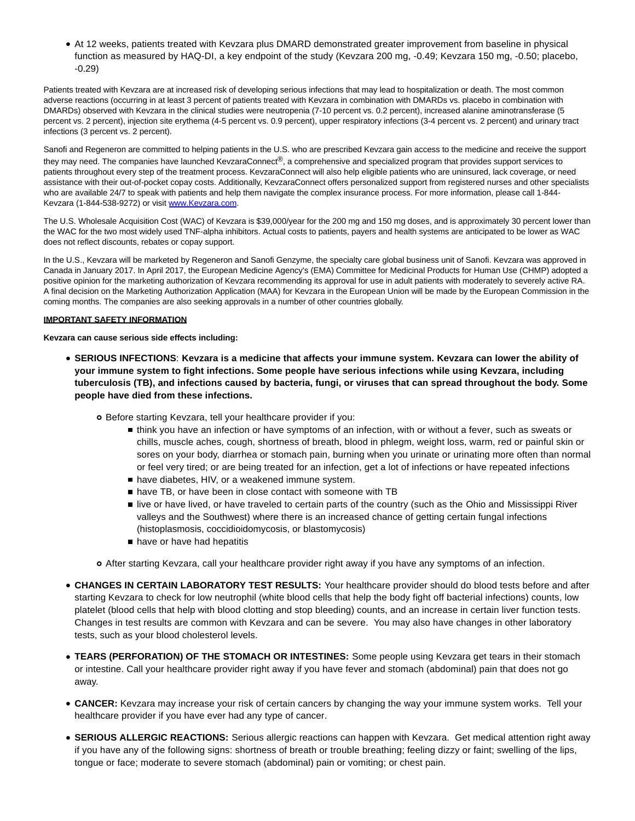At 12 weeks, patients treated with Kevzara plus DMARD demonstrated greater improvement from baseline in physical function as measured by HAQ-DI, a key endpoint of the study (Kevzara 200 mg, -0.49; Kevzara 150 mg, -0.50; placebo, -0.29)

Patients treated with Kevzara are at increased risk of developing serious infections that may lead to hospitalization or death. The most common adverse reactions (occurring in at least 3 percent of patients treated with Kevzara in combination with DMARDs vs. placebo in combination with DMARDs) observed with Kevzara in the clinical studies were neutropenia (7-10 percent vs. 0.2 percent), increased alanine aminotransferase (5 percent vs. 2 percent), injection site erythema (4-5 percent vs. 0.9 percent), upper respiratory infections (3-4 percent vs. 2 percent) and urinary tract infections (3 percent vs. 2 percent).

Sanofi and Regeneron are committed to helping patients in the U.S. who are prescribed Kevzara gain access to the medicine and receive the support they may need. The companies have launched KevzaraConnect<sup>®</sup>, a comprehensive and specialized program that provides support services to patients throughout every step of the treatment process. KevzaraConnect will also help eligible patients who are uninsured, lack coverage, or need assistance with their out-of-pocket copay costs. Additionally, KevzaraConnect offers personalized support from registered nurses and other specialists who are available 24/7 to speak with patients and help them navigate the complex insurance process. For more information, please call 1-844- Kevzara (1-844-538-9272) or visit www.Kevzara.com.

The U.S. Wholesale Acquisition Cost (WAC) of Kevzara is \$39,000/year for the 200 mg and 150 mg doses, and is approximately 30 percent lower than the WAC for the two most widely used TNF-alpha inhibitors. Actual costs to patients, payers and health systems are anticipated to be lower as WAC does not reflect discounts, rebates or copay support.

In the U.S., Kevzara will be marketed by Regeneron and Sanofi Genzyme, the specialty care global business unit of Sanofi. Kevzara was approved in Canada in January 2017. In April 2017, the European Medicine Agency's (EMA) Committee for Medicinal Products for Human Use (CHMP) adopted a positive opinion for the marketing authorization of Kevzara recommending its approval for use in adult patients with moderately to severely active RA. A final decision on the Marketing Authorization Application (MAA) for Kevzara in the European Union will be made by the European Commission in the coming months. The companies are also seeking approvals in a number of other countries globally.

# **IMPORTANT SAFETY INFORMATION**

**Kevzara can cause serious side effects including:**

- **SERIOUS INFECTIONS**: **Kevzara is a medicine that affects your immune system. Kevzara can lower the ability of your immune system to fight infections. Some people have serious infections while using Kevzara, including tuberculosis (TB), and infections caused by bacteria, fungi, or viruses that can spread throughout the body. Some people have died from these infections.**
	- Before starting Kevzara, tell your healthcare provider if you:
		- think you have an infection or have symptoms of an infection, with or without a fever, such as sweats or chills, muscle aches, cough, shortness of breath, blood in phlegm, weight loss, warm, red or painful skin or sores on your body, diarrhea or stomach pain, burning when you urinate or urinating more often than normal or feel very tired; or are being treated for an infection, get a lot of infections or have repeated infections
		- have diabetes, HIV, or a weakened immune system.
		- have TB, or have been in close contact with someone with TB
		- live or have lived, or have traveled to certain parts of the country (such as the Ohio and Mississippi River valleys and the Southwest) where there is an increased chance of getting certain fungal infections (histoplasmosis, coccidioidomycosis, or blastomycosis)
		- have or have had hepatitis
	- After starting Kevzara, call your healthcare provider right away if you have any symptoms of an infection.
- **CHANGES IN CERTAIN LABORATORY TEST RESULTS:** Your healthcare provider should do blood tests before and after starting Kevzara to check for low neutrophil (white blood cells that help the body fight off bacterial infections) counts, low platelet (blood cells that help with blood clotting and stop bleeding) counts, and an increase in certain liver function tests. Changes in test results are common with Kevzara and can be severe. You may also have changes in other laboratory tests, such as your blood cholesterol levels.
- **TEARS (PERFORATION) OF THE STOMACH OR INTESTINES:** Some people using Kevzara get tears in their stomach or intestine. Call your healthcare provider right away if you have fever and stomach (abdominal) pain that does not go away.
- **CANCER:** Kevzara may increase your risk of certain cancers by changing the way your immune system works. Tell your healthcare provider if you have ever had any type of cancer.
- **SERIOUS ALLERGIC REACTIONS:** Serious allergic reactions can happen with Kevzara. Get medical attention right away if you have any of the following signs: shortness of breath or trouble breathing; feeling dizzy or faint; swelling of the lips, tongue or face; moderate to severe stomach (abdominal) pain or vomiting; or chest pain.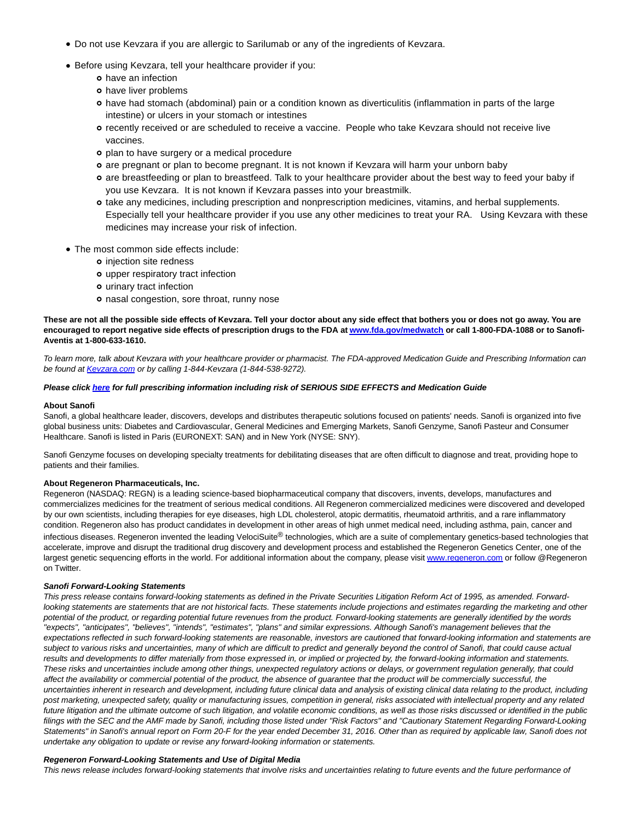- Do not use Kevzara if you are allergic to Sarilumab or any of the ingredients of Kevzara.
- Before using Kevzara, tell your healthcare provider if you:
	- have an infection
	- have liver problems
	- have had stomach (abdominal) pain or a condition known as diverticulitis (inflammation in parts of the large intestine) or ulcers in your stomach or intestines
	- recently received or are scheduled to receive a vaccine. People who take Kevzara should not receive live vaccines.
	- plan to have surgery or a medical procedure
	- are pregnant or plan to become pregnant. It is not known if Kevzara will harm your unborn baby
	- are breastfeeding or plan to breastfeed. Talk to your healthcare provider about the best way to feed your baby if you use Kevzara. It is not known if Kevzara passes into your breastmilk.
	- o take any medicines, including prescription and nonprescription medicines, vitamins, and herbal supplements. Especially tell your healthcare provider if you use any other medicines to treat your RA. Using Kevzara with these medicines may increase your risk of infection.
- The most common side effects include:
	- o injection site redness
	- upper respiratory tract infection
	- urinary tract infection
	- o nasal congestion, sore throat, runny nose

**These are not all the possible side effects of Kevzara. Tell your doctor about any side effect that bothers you or does not go away. You are encouraged to report negative side effects of prescription drugs to the FDA a[t www.fda.gov/medwatch o](http://www.fda.gov/medwatch)r call 1-800-FDA-1088 or to Sanofi-Aventis at 1-800-633-1610.**

To learn more, talk about Kevzara with your healthcare provider or pharmacist. The FDA-approved Medication Guide and Prescribing Information can be found at Keyzara.com or by calling 1-844-Keyzara (1-844-538-9272).

#### **Please clic[k here f](http://products.sanofi.us/kevzara/kevzara.pdf)or full prescribing information including risk of SERIOUS SIDE EFFECTS and Medication Guide**

# **About Sanofi**

Sanofi, a global healthcare leader, discovers, develops and distributes therapeutic solutions focused on patients' needs. Sanofi is organized into five global business units: Diabetes and Cardiovascular, General Medicines and Emerging Markets, Sanofi Genzyme, Sanofi Pasteur and Consumer Healthcare. Sanofi is listed in Paris (EURONEXT: SAN) and in New York (NYSE: SNY).

Sanofi Genzyme focuses on developing specialty treatments for debilitating diseases that are often difficult to diagnose and treat, providing hope to patients and their families.

# **About Regeneron Pharmaceuticals, Inc.**

Regeneron (NASDAQ: REGN) is a leading science-based biopharmaceutical company that discovers, invents, develops, manufactures and commercializes medicines for the treatment of serious medical conditions. All Regeneron commercialized medicines were discovered and developed by our own scientists, including therapies for eye diseases, high LDL cholesterol, atopic dermatitis, rheumatoid arthritis, and a rare inflammatory condition. Regeneron also has product candidates in development in other areas of high unmet medical need, including asthma, pain, cancer and infectious diseases. Regeneron invented the leading VelociSuite® technologies, which are a suite of complementary genetics-based technologies that accelerate, improve and disrupt the traditional drug discovery and development process and established the Regeneron Genetics Center, one of the largest genetic sequencing efforts in the world. For additional information about the company, please visit [www.regeneron.com o](http://www.regeneron.com/)r follow @Regeneron on Twitter.

## **Sanofi Forward-Looking Statements**

This press release contains forward-looking statements as defined in the Private Securities Litigation Reform Act of 1995, as amended. Forwardlooking statements are statements that are not historical facts. These statements include projections and estimates regarding the marketing and other potential of the product, or regarding potential future revenues from the product. Forward-looking statements are generally identified by the words "expects", "anticipates", "believes", "intends", "estimates", "plans" and similar expressions. Although Sanofi's management believes that the expectations reflected in such forward-looking statements are reasonable, investors are cautioned that forward-looking information and statements are subject to various risks and uncertainties, many of which are difficult to predict and generally beyond the control of Sanofi, that could cause actual results and developments to differ materially from those expressed in, or implied or projected by, the forward-looking information and statements. These risks and uncertainties include among other things, unexpected regulatory actions or delays, or government regulation generally, that could affect the availability or commercial potential of the product, the absence of guarantee that the product will be commercially successful, the uncertainties inherent in research and development, including future clinical data and analysis of existing clinical data relating to the product, including post marketing, unexpected safety, quality or manufacturing issues, competition in general, risks associated with intellectual property and any related future litigation and the ultimate outcome of such litigation, and volatile economic conditions, as well as those risks discussed or identified in the public filings with the SEC and the AMF made by Sanofi, including those listed under "Risk Factors" and "Cautionary Statement Regarding Forward-Looking Statements" in Sanofi's annual report on Form 20-F for the year ended December 31, 2016. Other than as required by applicable law, Sanofi does not undertake any obligation to update or revise any forward-looking information or statements.

#### **Regeneron Forward-Looking Statements and Use of Digital Media**

This news release includes forward-looking statements that involve risks and uncertainties relating to future events and the future performance of